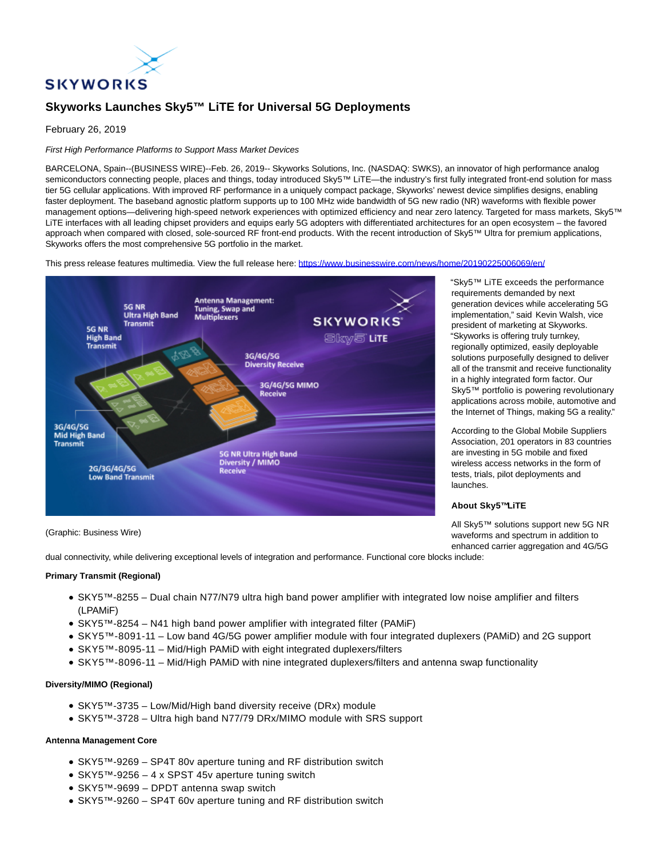

# **Skyworks Launches Sky5™ LiTE for Universal 5G Deployments**

# February 26, 2019

# First High Performance Platforms to Support Mass Market Devices

BARCELONA, Spain--(BUSINESS WIRE)--Feb. 26, 2019-- Skyworks Solutions, Inc. (NASDAQ: SWKS), an innovator of high performance analog semiconductors connecting people, places and things, today introduced Sky5™ LiTE—the industry's first fully integrated front-end solution for mass tier 5G cellular applications. With improved RF performance in a uniquely compact package, Skyworks' newest device simplifies designs, enabling faster deployment. The baseband agnostic platform supports up to 100 MHz wide bandwidth of 5G new radio (NR) waveforms with flexible power management options—delivering high-speed network experiences with optimized efficiency and near zero latency. Targeted for mass markets, Sky5™ LiTE interfaces with all leading chipset providers and equips early 5G adopters with differentiated architectures for an open ecosystem – the favored approach when compared with closed, sole-sourced RF front-end products. With the recent introduction of Sky5™ Ultra for premium applications, Skyworks offers the most comprehensive 5G portfolio in the market.

This press release features multimedia. View the full release here:<https://www.businesswire.com/news/home/20190225006069/en/>



(Graphic: Business Wire)

"Sky5™ LiTE exceeds the performance requirements demanded by next generation devices while accelerating 5G implementation," said Kevin Walsh, vice president of marketing at Skyworks. "Skyworks is offering truly turnkey, regionally optimized, easily deployable solutions purposefully designed to deliver all of the transmit and receive functionality in a highly integrated form factor. Our Sky5™ portfolio is powering revolutionary applications across mobile, automotive and the Internet of Things, making 5G a reality."

According to the Global Mobile Suppliers Association, 201 operators in 83 countries are investing in 5G mobile and fixed wireless access networks in the form of tests, trials, pilot deployments and launches.

### **About Sky5™LiTE**

All Sky5™ solutions support new 5G NR waveforms and spectrum in addition to enhanced carrier aggregation and 4G/5G

dual connectivity, while delivering exceptional levels of integration and performance. Functional core blocks include:

#### **Primary Transmit (Regional)**

- SKY5™-8255 Dual chain N77/N79 ultra high band power amplifier with integrated low noise amplifier and filters (LPAMiF)
- SKY5™-8254 N41 high band power amplifier with integrated filter (PAMiF)
- SKY5™-8091-11 Low band 4G/5G power amplifier module with four integrated duplexers (PAMiD) and 2G support
- SKY5™-8095-11 Mid/High PAMiD with eight integrated duplexers/filters
- SKY5™-8096-11 Mid/High PAMiD with nine integrated duplexers/filters and antenna swap functionality

## **Diversity/MIMO (Regional)**

- SKY5™-3735 Low/Mid/High band diversity receive (DRx) module
- SKY5™-3728 Ultra high band N77/79 DRx/MIMO module with SRS support

## **Antenna Management Core**

- SKY5™-9269 SP4T 80v aperture tuning and RF distribution switch
- SKY5™-9256 4 x SPST 45v aperture tuning switch
- SKY5™-9699 DPDT antenna swap switch
- SKY5™-9260 SP4T 60v aperture tuning and RF distribution switch